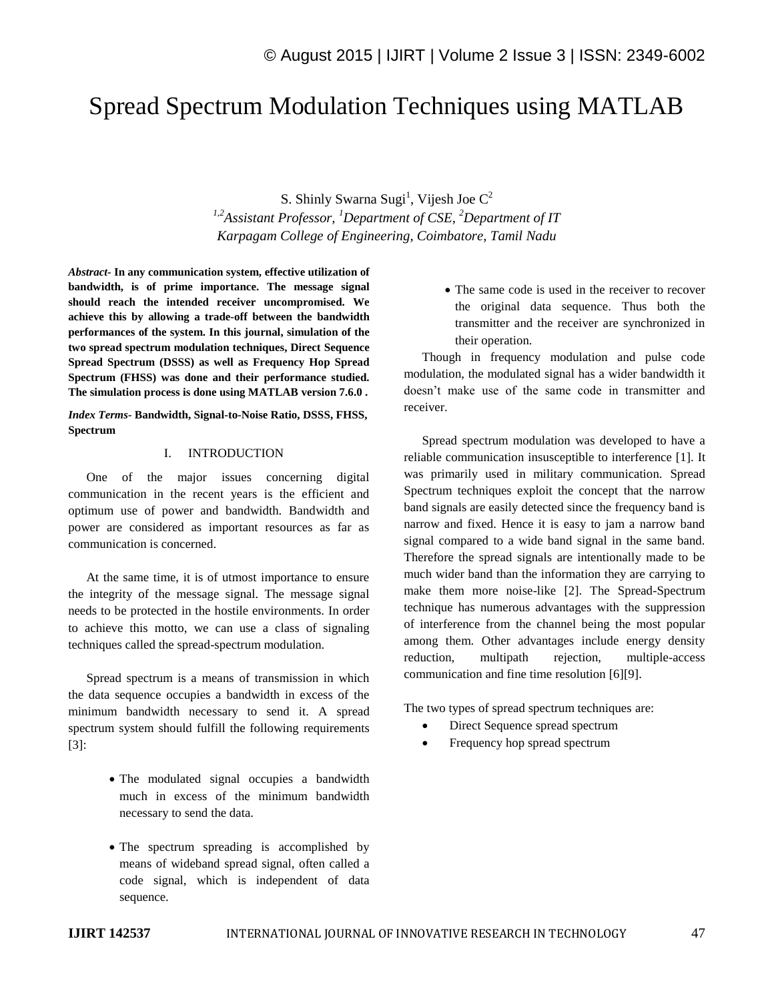# Spread Spectrum Modulation Techniques using MATLAB

S. Shinly Swarna Sugi<sup>1</sup>, Vijesh Joe  $C^2$ *1,2Assistant Professor, <sup>1</sup>Department of CSE, <sup>2</sup>Department of IT Karpagam College of Engineering, Coimbatore, Tamil Nadu*

*Abstract-* **In any communication system, effective utilization of bandwidth, is of prime importance. The message signal should reach the intended receiver uncompromised. We achieve this by allowing a trade-off between the bandwidth performances of the system. In this journal, simulation of the two spread spectrum modulation techniques, Direct Sequence Spread Spectrum (DSSS) as well as Frequency Hop Spread Spectrum (FHSS) was done and their performance studied. The simulation process is done using MATLAB version 7.6.0 .**

*Index Terms-* **Bandwidth, Signal-to-Noise Ratio, DSSS, FHSS, Spectrum**

#### I. INTRODUCTION

One of the major issues concerning digital communication in the recent years is the efficient and optimum use of power and bandwidth. Bandwidth and power are considered as important resources as far as communication is concerned.

At the same time, it is of utmost importance to ensure the integrity of the message signal. The message signal needs to be protected in the hostile environments. In order to achieve this motto, we can use a class of signaling techniques called the spread-spectrum modulation.

Spread spectrum is a means of transmission in which the data sequence occupies a bandwidth in excess of the minimum bandwidth necessary to send it. A spread spectrum system should fulfill the following requirements [3]:

- The modulated signal occupies a bandwidth much in excess of the minimum bandwidth necessary to send the data.
- The spectrum spreading is accomplished by means of wideband spread signal, often called a code signal, which is independent of data sequence.

• The same code is used in the receiver to recover the original data sequence. Thus both the transmitter and the receiver are synchronized in their operation.

Though in frequency modulation and pulse code modulation, the modulated signal has a wider bandwidth it doesn't make use of the same code in transmitter and receiver.

Spread spectrum modulation was developed to have a reliable communication insusceptible to interference [1]. It was primarily used in military communication. Spread Spectrum techniques exploit the concept that the narrow band signals are easily detected since the frequency band is narrow and fixed. Hence it is easy to jam a narrow band signal compared to a wide band signal in the same band. Therefore the spread signals are intentionally made to be much wider band than the information they are carrying to make them more noise-like [2]. The Spread-Spectrum technique has numerous advantages with the suppression of interference from the channel being the most popular among them. Other advantages include energy density reduction, multipath rejection, multiple-access communication and fine time resolution [6][9].

The two types of spread spectrum techniques are:

- Direct Sequence spread spectrum
- Frequency hop spread spectrum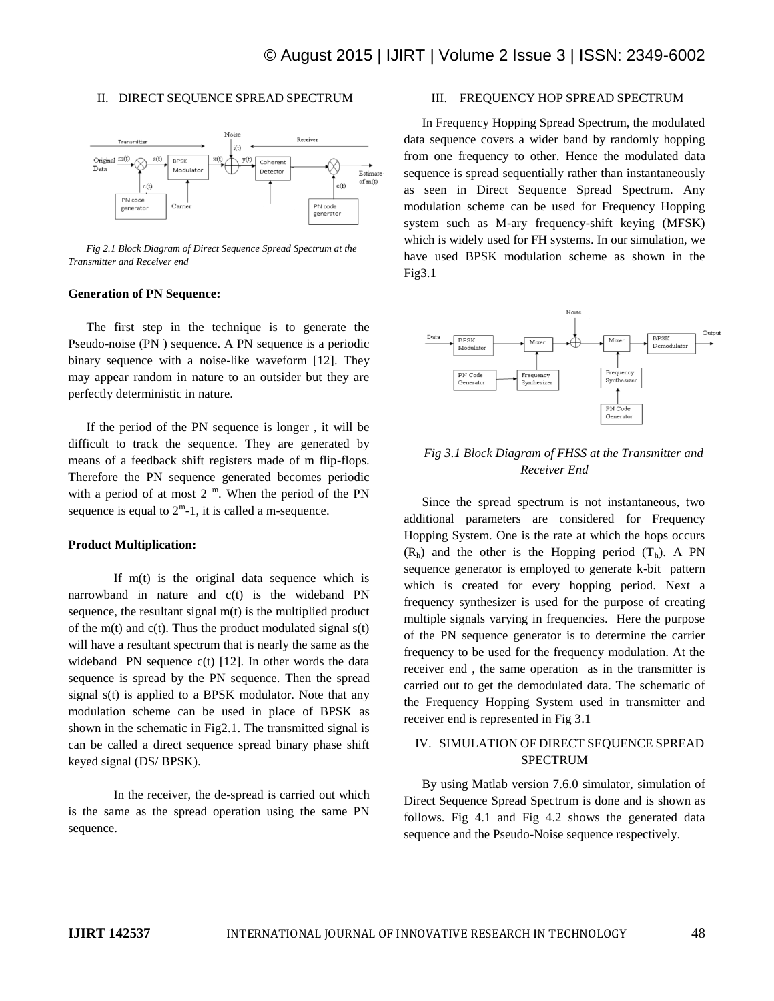#### II. DIRECT SEQUENCE SPREAD SPECTRUM



*Fig 2.1 Block Diagram of Direct Sequence Spread Spectrum at the Transmitter and Receiver end*

#### **Generation of PN Sequence:**

The first step in the technique is to generate the Pseudo-noise (PN ) sequence. A PN sequence is a periodic binary sequence with a noise-like waveform [12]. They may appear random in nature to an outsider but they are perfectly deterministic in nature.

If the period of the PN sequence is longer , it will be difficult to track the sequence. They are generated by means of a feedback shift registers made of m flip-flops. Therefore the PN sequence generated becomes periodic with a period of at most  $2<sup>m</sup>$ . When the period of the PN sequence is equal to  $2^m-1$ , it is called a m-sequence.

#### **Product Multiplication:**

If m(t) is the original data sequence which is narrowband in nature and c(t) is the wideband PN sequence, the resultant signal m(t) is the multiplied product of the m(t) and  $c(t)$ . Thus the product modulated signal  $s(t)$ will have a resultant spectrum that is nearly the same as the wideband PN sequence c(t) [12]. In other words the data sequence is spread by the PN sequence. Then the spread signal s(t) is applied to a BPSK modulator. Note that any modulation scheme can be used in place of BPSK as shown in the schematic in Fig2.1. The transmitted signal is can be called a direct sequence spread binary phase shift keyed signal (DS/ BPSK).

In the receiver, the de-spread is carried out which is the same as the spread operation using the same PN sequence.

#### III. FREQUENCY HOP SPREAD SPECTRUM

In Frequency Hopping Spread Spectrum, the modulated data sequence covers a wider band by randomly hopping from one frequency to other. Hence the modulated data sequence is spread sequentially rather than instantaneously as seen in Direct Sequence Spread Spectrum. Any modulation scheme can be used for Frequency Hopping system such as M-ary frequency-shift keying (MFSK) which is widely used for FH systems. In our simulation, we have used BPSK modulation scheme as shown in the Fig3.1



## *Fig 3.1 Block Diagram of FHSS at the Transmitter and Receiver End*

Since the spread spectrum is not instantaneous, two additional parameters are considered for Frequency Hopping System. One is the rate at which the hops occurs  $(R<sub>h</sub>)$  and the other is the Hopping period  $(T<sub>h</sub>)$ . A PN sequence generator is employed to generate k-bit pattern which is created for every hopping period. Next a frequency synthesizer is used for the purpose of creating multiple signals varying in frequencies. Here the purpose of the PN sequence generator is to determine the carrier frequency to be used for the frequency modulation. At the receiver end , the same operation as in the transmitter is carried out to get the demodulated data. The schematic of the Frequency Hopping System used in transmitter and receiver end is represented in Fig 3.1

## IV. SIMULATION OF DIRECT SEQUENCE SPREAD SPECTRUM

By using Matlab version 7.6.0 simulator, simulation of Direct Sequence Spread Spectrum is done and is shown as follows. Fig 4.1 and Fig 4.2 shows the generated data sequence and the Pseudo-Noise sequence respectively.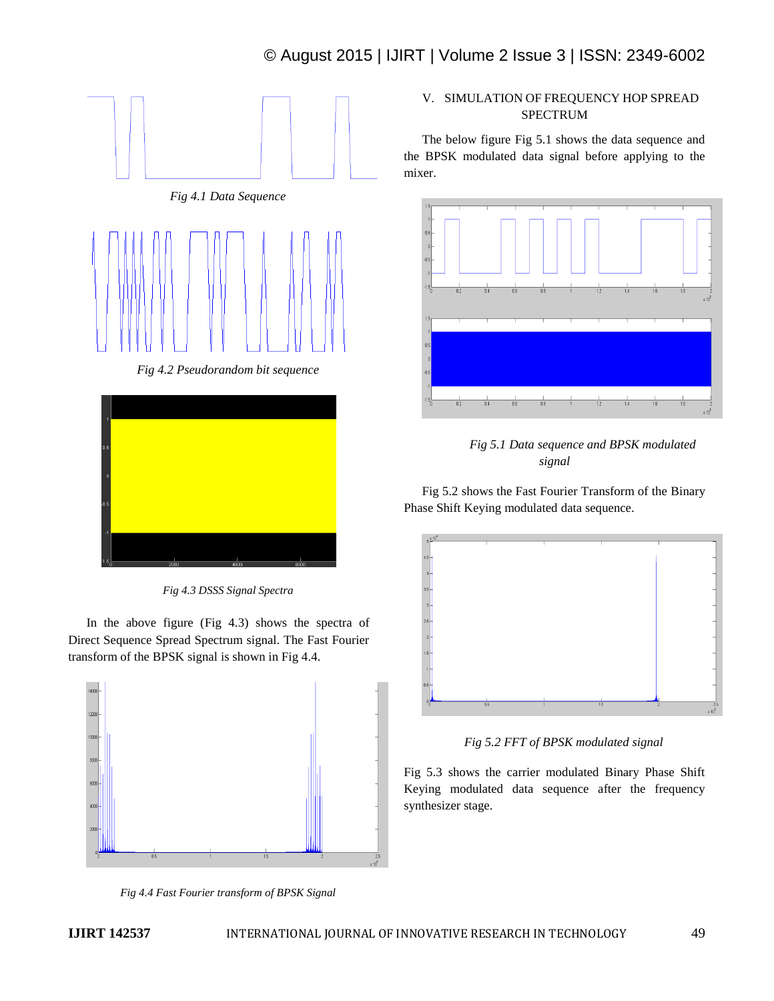





*Fig 4.3 DSSS Signal Spectra*

In the above figure (Fig 4.3) shows the spectra of Direct Sequence Spread Spectrum signal. The Fast Fourier transform of the BPSK signal is shown in Fig 4.4.



*Fig 4.4 Fast Fourier transform of BPSK Signal*

# V. SIMULATION OF FREQUENCY HOP SPREAD SPECTRUM

The below figure Fig 5.1 shows the data sequence and the BPSK modulated data signal before applying to the mixer.





Fig 5.2 shows the Fast Fourier Transform of the Binary Phase Shift Keying modulated data sequence.



*Fig 5.2 FFT of BPSK modulated signal*

Fig 5.3 shows the carrier modulated Binary Phase Shift Keying modulated data sequence after the frequency synthesizer stage.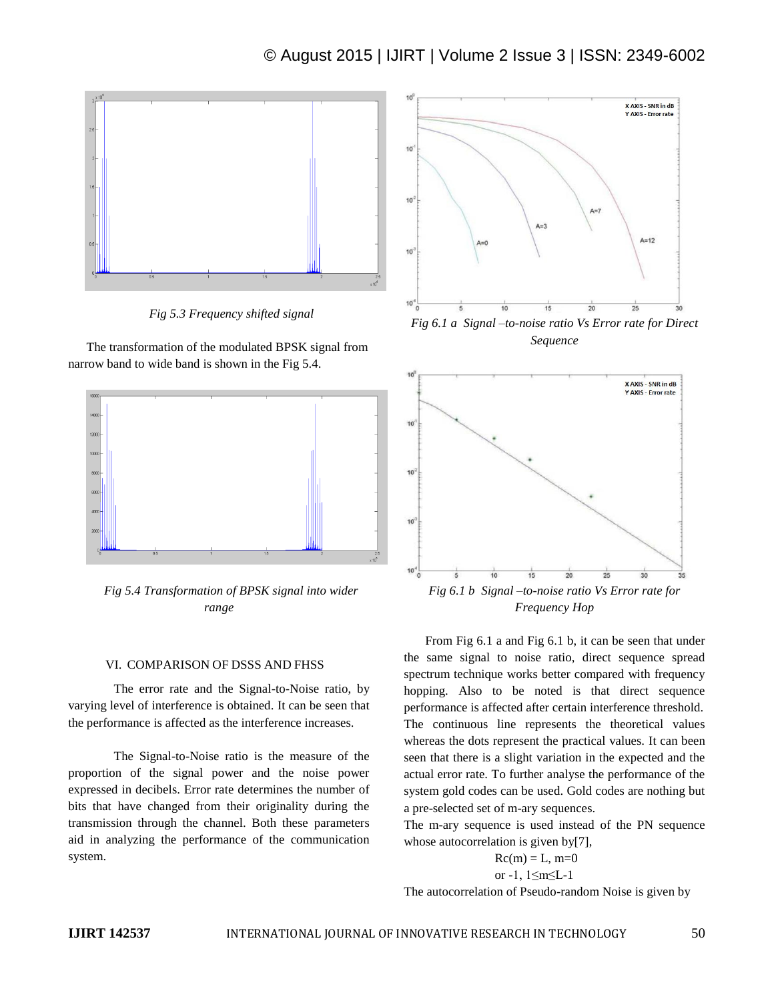

*Fig 5.3 Frequency shifted signal*

The transformation of the modulated BPSK signal from narrow band to wide band is shown in the Fig 5.4.



*Fig 5.4 Transformation of BPSK signal into wider range*

#### VI. COMPARISON OF DSSS AND FHSS

The error rate and the Signal-to-Noise ratio, by varying level of interference is obtained. It can be seen that the performance is affected as the interference increases.

The Signal-to-Noise ratio is the measure of the proportion of the signal power and the noise power expressed in decibels. Error rate determines the number of bits that have changed from their originality during the transmission through the channel. Both these parameters aid in analyzing the performance of the communication system.



*Sequence*



From Fig 6.1 a and Fig 6.1 b, it can be seen that under the same signal to noise ratio, direct sequence spread spectrum technique works better compared with frequency hopping. Also to be noted is that direct sequence performance is affected after certain interference threshold. The continuous line represents the theoretical values whereas the dots represent the practical values. It can been seen that there is a slight variation in the expected and the actual error rate. To further analyse the performance of the system gold codes can be used. Gold codes are nothing but a pre-selected set of m-ary sequences.

The m-ary sequence is used instead of the PN sequence whose autocorrelation is given by[7],

$$
Rc(m) = L, m=0
$$
  
or -1, 1 \le m \le L-1

The autocorrelation of Pseudo-random Noise is given by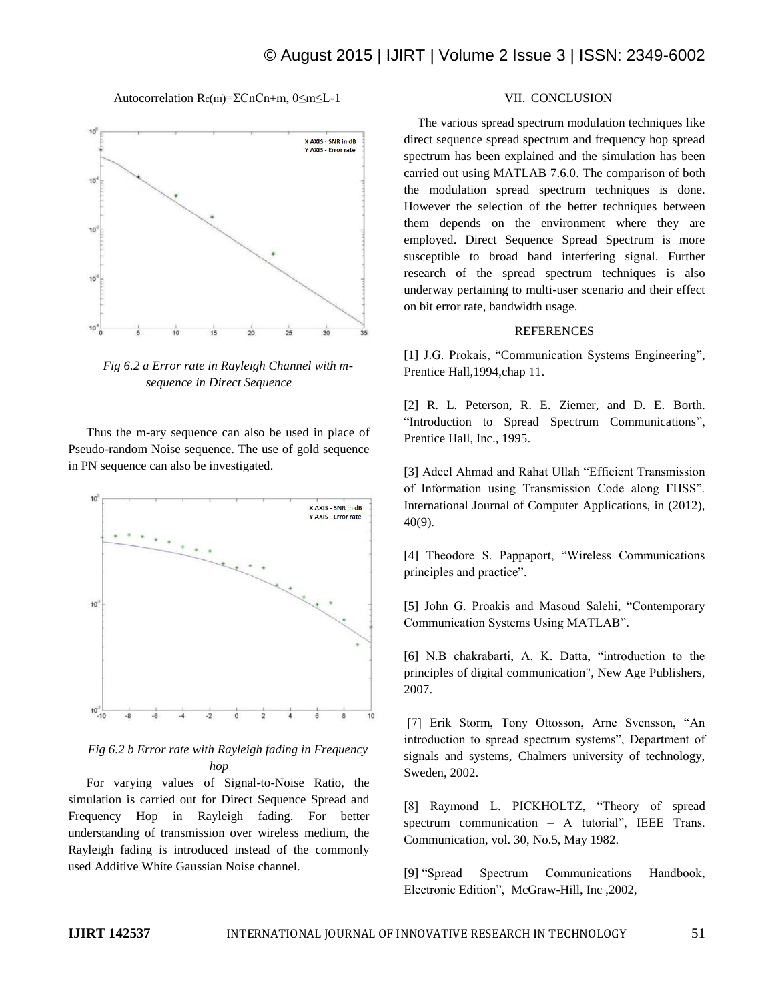Autocorrelation Rc(m)=ΣCnCn+m, 0≤m≤L-1



*Fig 6.2 a Error rate in Rayleigh Channel with msequence in Direct Sequence*

Thus the m-ary sequence can also be used in place of Pseudo-random Noise sequence. The use of gold sequence in PN sequence can also be investigated.



## *Fig 6.2 b Error rate with Rayleigh fading in Frequency hop*

For varying values of Signal-to-Noise Ratio, the simulation is carried out for Direct Sequence Spread and Frequency Hop in Rayleigh fading. For better understanding of transmission over wireless medium, the Rayleigh fading is introduced instead of the commonly used Additive White Gaussian Noise channel.

#### VII. CONCLUSION

The various spread spectrum modulation techniques like direct sequence spread spectrum and frequency hop spread spectrum has been explained and the simulation has been carried out using MATLAB 7.6.0. The comparison of both the modulation spread spectrum techniques is done. However the selection of the better techniques between them depends on the environment where they are employed. Direct Sequence Spread Spectrum is more susceptible to broad band interfering signal. Further research of the spread spectrum techniques is also underway pertaining to multi-user scenario and their effect on bit error rate, bandwidth usage.

#### REFERENCES

[1] J.G. Prokais, "Communication Systems Engineering", Prentice Hall,1994,chap 11.

[2] R. L. Peterson, R. E. Ziemer, and D. E. Borth. "Introduction to Spread Spectrum Communications", Prentice Hall, Inc., 1995.

[3] Adeel Ahmad and Rahat Ullah "Efficient Transmission of Information using Transmission Code along FHSS". International Journal of Computer Applications, in (2012), 40(9).

[4] Theodore S. Pappaport, "Wireless Communications principles and practice".

[5] John G. Proakis and Masoud Salehi, "Contemporary Communication Systems Using MATLAB".

[6] N.B chakrabarti, A. K. Datta, "introduction to the principles of digital communication", New Age Publishers, 2007.

[7] Erik Storm, Tony Ottosson, Arne Svensson, "An introduction to spread spectrum systems", Department of signals and systems, Chalmers university of technology, Sweden, 2002.

[8] Raymond L. PICKHOLTZ, "Theory of spread spectrum communication – A tutorial", IEEE Trans. Communication, vol. 30, No.5, May 1982.

[9] "Spread Spectrum Communications Handbook, Electronic Edition", McGraw-Hill, Inc ,2002,